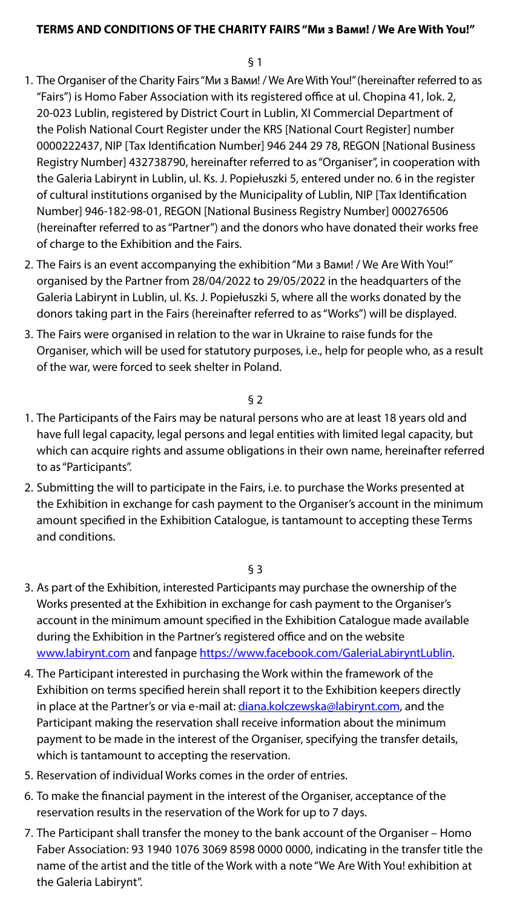## **TERMS AND CONDITIONS OF THE CHARITY FAIRS "Ми з Вами! / We Are With You!"**

## § 1

- 1. The Organiser of the Charity Fairs "Ми з Вами! / We Are With You!" (hereinafter referred to as "Fairs") is Homo Faber Association with its registered office at ul. Chopina 41, lok. 2, 20-023 Lublin, registered by District Court in Lublin, XI Commercial Department of the Polish National Court Register under the KRS [National Court Register] number 0000222437, NIP [Tax Identification Number] 946 244 29 78, REGON [National Business Registry Number] 432738790, hereinafter referred to as "Organiser", in cooperation with the Galeria Labirynt in Lublin, ul. Ks. J. Popiełuszki 5, entered under no. 6 in the register of cultural institutions organised by the Municipality of Lublin, NIP [Tax Identification Number] 946-182-98-01, REGON [National Business Registry Number] 000276506 (hereinafter referred to as "Partner") and the donors who have donated their works free of charge to the Exhibition and the Fairs.
- 2. The Fairs is an event accompanying the exhibition "Ми з Вами! / We Are With You!" organised by the Partner from 28/04/2022 to 29/05/2022 in the headquarters of the Galeria Labirynt in Lublin, ul. Ks. J. Popiełuszki 5, where all the works donated by the donors taking part in the Fairs (hereinafter referred to as "Works") will be displayed.
- 3. The Fairs were organised in relation to the war in Ukraine to raise funds for the Organiser, which will be used for statutory purposes, i.e., help for people who, as a result of the war, were forced to seek shelter in Poland.

## § 2

- 1. The Participants of the Fairs may be natural persons who are at least 18 years old and have full legal capacity, legal persons and legal entities with limited legal capacity, but which can acquire rights and assume obligations in their own name, hereinafter referred to as "Participants".
- 2. Submitting the will to participate in the Fairs, i.e. to purchase the Works presented at the Exhibition in exchange for cash payment to the Organiser's account in the minimum amount specified in the Exhibition Catalogue, is tantamount to accepting these Terms and conditions.

- 3. As part of the Exhibition, interested Participants may purchase the ownership of the Works presented at the Exhibition in exchange for cash payment to the Organiser's account in the minimum amount specified in the Exhibition Catalogue made available during the Exhibition in the Partner's registered office and on the website www.labirynt.com and fanpage https://www.facebook.com/GaleriaLabiryntLublin.
- 4. The Participant interested in purchasing the Work within the framework of the Exhibition on terms specified herein shall report it to the Exhibition keepers directly in place at the Partner's or via e-mail at: [diana.kolczewska@labirynt.com](mailto:diana.kolczewska@labirynt.com), and the Participant making the reservation shall receive information about the minimum payment to be made in the interest of the Organiser, specifying the transfer details, which is tantamount to accepting the reservation.
- 5. Reservation of individual Works comes in the order of entries.
- 6. To make the financial payment in the interest of the Organiser, acceptance of the reservation results in the reservation of the Work for up to 7 days.
- 7. The Participant shall transfer the money to the bank account of the Organiser Homo Faber Association: 93 1940 1076 3069 8598 0000 0000, indicating in the transfer title the name of the artist and the title of the Work with a note "We Are With You! exhibition at the Galeria Labirynt".